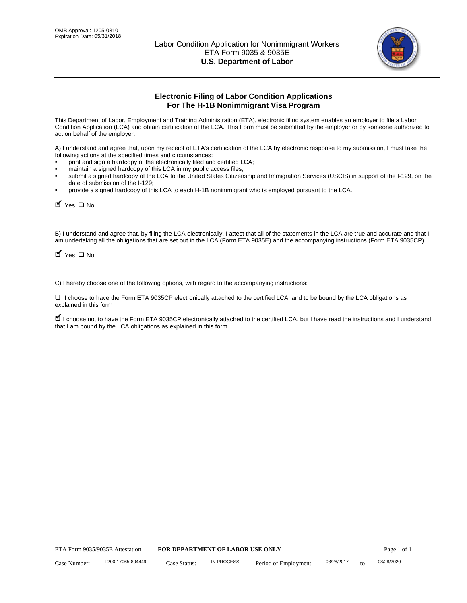

# **Electronic Filing of Labor Condition Applications For The H-1B Nonimmigrant Visa Program**

This Department of Labor, Employment and Training Administration (ETA), electronic filing system enables an employer to file a Labor Condition Application (LCA) and obtain certification of the LCA. This Form must be submitted by the employer or by someone authorized to act on behalf of the employer.

A) I understand and agree that, upon my receipt of ETA's certification of the LCA by electronic response to my submission, I must take the following actions at the specified times and circumstances:

- print and sign a hardcopy of the electronically filed and certified LCA;
- maintain a signed hardcopy of this LCA in my public access files;
- submit a signed hardcopy of the LCA to the United States Citizenship and Immigration Services (USCIS) in support of the I-129, on the date of submission of the I-129;
- provide a signed hardcopy of this LCA to each H-1B nonimmigrant who is employed pursuant to the LCA.

| Yes O No                                                                                                                                                                                                                                                                                                              |              |                                  |                       |                  |             |
|-----------------------------------------------------------------------------------------------------------------------------------------------------------------------------------------------------------------------------------------------------------------------------------------------------------------------|--------------|----------------------------------|-----------------------|------------------|-------------|
| B) I understand and agree that, by filing the LCA electronically, I attest that all of the statements in the LCA are true and accurate and th<br>am undertaking all the obligations that are set out in the LCA (Form ETA 9035E) and the accompanying instructions (Form ETA 9035C<br>$\blacksquare$ Yes $\square$ No |              |                                  |                       |                  |             |
| C) I hereby choose one of the following options, with regard to the accompanying instructions:                                                                                                                                                                                                                        |              |                                  |                       |                  |             |
| □ I choose to have the Form ETA 9035CP electronically attached to the certified LCA, and to be bound by the LCA obligations as<br>explained in this form                                                                                                                                                              |              |                                  |                       |                  |             |
| I choose not to have the Form ETA 9035CP electronically attached to the certified LCA, but I have read the instructions and I unders<br>that I am bound by the LCA obligations as explained in this form                                                                                                              |              |                                  |                       |                  |             |
|                                                                                                                                                                                                                                                                                                                       |              |                                  |                       |                  |             |
|                                                                                                                                                                                                                                                                                                                       |              |                                  |                       |                  |             |
|                                                                                                                                                                                                                                                                                                                       |              |                                  |                       |                  |             |
|                                                                                                                                                                                                                                                                                                                       |              |                                  |                       |                  |             |
|                                                                                                                                                                                                                                                                                                                       |              |                                  |                       |                  |             |
|                                                                                                                                                                                                                                                                                                                       |              |                                  |                       |                  |             |
|                                                                                                                                                                                                                                                                                                                       |              |                                  |                       |                  |             |
|                                                                                                                                                                                                                                                                                                                       |              |                                  |                       |                  |             |
|                                                                                                                                                                                                                                                                                                                       |              |                                  |                       |                  |             |
|                                                                                                                                                                                                                                                                                                                       |              |                                  |                       |                  |             |
| ETA Form 9035/9035E Attestation                                                                                                                                                                                                                                                                                       |              | FOR DEPARTMENT OF LABOR USE ONLY |                       |                  | Page 1 of 1 |
| I-200-17065-804449<br>Case Number:                                                                                                                                                                                                                                                                                    | Case Status: | <b>IN PROCESS</b>                | Period of Employment: | 08/28/2017<br>to | 08/28/2020  |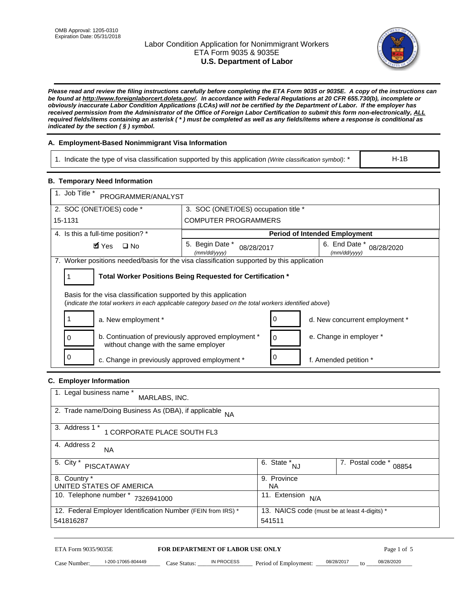# Labor Condition Application for Nonimmigrant Workers ETA Form 9035 & 9035E **U.S. Department of Labor**



*Please read and review the filing instructions carefully before completing the ETA Form 9035 or 9035E. A copy of the instructions can be found at http://www.foreignlaborcert.doleta.gov/. In accordance with Federal Regulations at 20 CFR 655.730(b), incomplete or obviously inaccurate Labor Condition Applications (LCAs) will not be certified by the Department of Labor. If the employer has received permission from the Administrator of the Office of Foreign Labor Certification to submit this form non-electronically, ALL required fields/items containing an asterisk ( \* ) must be completed as well as any fields/items where a response is conditional as indicated by the section ( § ) symbol.* 

# **A. Employment-Based Nonimmigrant Visa Information**

1. Indicate the type of visa classification supported by this application *(Write classification symbol)*: \*

### **B. Temporary Need Information**

| 1. Indicate the type of visa classification supported by this application (Write classification symbol): *                                                              |                                               |                                                 |                                      | $H-1B$                    |  |
|-------------------------------------------------------------------------------------------------------------------------------------------------------------------------|-----------------------------------------------|-------------------------------------------------|--------------------------------------|---------------------------|--|
| <b>B. Temporary Need Information</b>                                                                                                                                    |                                               |                                                 |                                      |                           |  |
| 1. Job Title *<br>PROGRAMMER/ANALYST                                                                                                                                    |                                               |                                                 |                                      |                           |  |
| 2. SOC (ONET/OES) code *<br>3. SOC (ONET/OES) occupation title *                                                                                                        |                                               |                                                 |                                      |                           |  |
| 15-1131                                                                                                                                                                 | <b>COMPUTER PROGRAMMERS</b>                   |                                                 |                                      |                           |  |
| 4. Is this a full-time position? *                                                                                                                                      |                                               |                                                 | <b>Period of Intended Employment</b> |                           |  |
| $\blacksquare$ Yes<br>$\square$ No                                                                                                                                      | 5. Begin Date *<br>08/28/2017<br>(mm/dd/yyyy) |                                                 | 6. End Date *<br>(mm/dd/yyyy)        | 08/28/2020                |  |
| 7. Worker positions needed/basis for the visa classification supported by this application                                                                              |                                               |                                                 |                                      |                           |  |
| Total Worker Positions Being Requested for Certification *<br>1                                                                                                         |                                               |                                                 |                                      |                           |  |
| Basis for the visa classification supported by this application<br>(indicate the total workers in each applicable category based on the total workers identified above) |                                               |                                                 |                                      |                           |  |
| 1<br>a. New employment *                                                                                                                                                |                                               | 0                                               | d. New concurrent employment *       |                           |  |
| b. Continuation of previously approved employment *<br>0<br>without change with the same employer                                                                       |                                               | 0                                               | e. Change in employer *              |                           |  |
| 0<br>0<br>c. Change in previously approved employment *<br>f. Amended petition *                                                                                        |                                               |                                                 |                                      |                           |  |
| C. Employer Information                                                                                                                                                 |                                               |                                                 |                                      |                           |  |
| 1. Legal business name *<br>MARLABS, INC.                                                                                                                               |                                               |                                                 |                                      |                           |  |
| 2. Trade name/Doing Business As (DBA), if applicable NA                                                                                                                 |                                               |                                                 |                                      |                           |  |
| 3. Address 1 *<br>1 CORPORATE PLACE SOUTH FL3                                                                                                                           |                                               |                                                 |                                      |                           |  |
| 4. Address 2<br>NA.                                                                                                                                                     |                                               |                                                 |                                      |                           |  |
| 5. City *<br><b>PISCATAWAY</b>                                                                                                                                          |                                               | $\overline{6. \quad \text{State}}^*_{\quad NJ}$ |                                      | 7. Postal code *<br>08854 |  |
| 8. Country *<br>9. Province<br>UNITED STATES OF AMERICA<br><b>NA</b>                                                                                                    |                                               |                                                 |                                      |                           |  |
| 10. Telephone number * 7326941000                                                                                                                                       |                                               | 11. Extension $N/A$                             |                                      |                           |  |
| 12. Federal Employer Identification Number (FEIN from IRS) *<br>13. NAICS code (must be at least 4-digits) *<br>541816287<br>541511                                     |                                               |                                                 |                                      |                           |  |
| ETA Form 9035/9035E                                                                                                                                                     | FOR DEPARTMENT OF LABOR USE ONLY              |                                                 |                                      | Page 1 of 5               |  |
| I-200-17065-804449<br>Case Number:<br>$Case$ Statue                                                                                                                     | IN PROCESS                                    | Period of Employment:                           | 08/28/2017                           | 08/28/2020                |  |

# **C. Employer Information**

| 1. Legal business name *<br>MARLABS, INC.                                 |                                                        |                           |
|---------------------------------------------------------------------------|--------------------------------------------------------|---------------------------|
| 2. Trade name/Doing Business As (DBA), if applicable NA                   |                                                        |                           |
| 3. Address 1 *<br>1 CORPORATE PLACE SOUTH FL3                             |                                                        |                           |
| 4. Address 2<br>NA.                                                       |                                                        |                           |
| 5. City *<br>PISCATAWAY                                                   | $\overline{6. \text{ State }}^*_{\text{NJ}}$           | 7. Postal code *<br>08854 |
| 8. Country *<br>UNITED STATES OF AMERICA                                  | 9. Province<br>NA.                                     |                           |
| 10. Telephone number *<br>7326941000                                      | 11. Extension<br>N/A                                   |                           |
| 12. Federal Employer Identification Number (FEIN from IRS) *<br>541816287 | 13. NAICS code (must be at least 4-digits) *<br>541511 |                           |

# ETA Form 9035/9035E **FOR DEPARTMENT OF LABOR USE ONLY** Page 1 of 5<br>Case Number: 1-200-17065-804449 Case Status: IN PROCESS Period of Employment: 08/28/2017 to 08/28/2020

Case Number: 1-200-17065-804449 Case Status: IN PROCESS Period of Employment: 08/28/2017 to 08/28/2020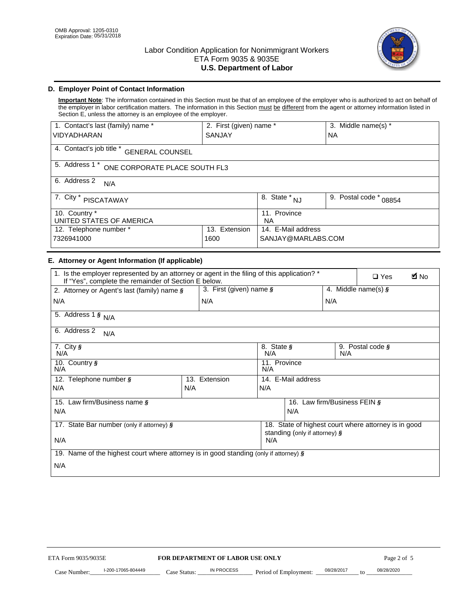

# **D. Employer Point of Contact Information**

**Important Note**: The information contained in this Section must be that of an employee of the employer who is authorized to act on behalf of the employer in labor certification matters. The information in this Section must be different from the agent or attorney information listed in Section E, unless the attorney is an employee of the employer.

| 1. Contact's last (family) name *                  | 2. First (given) name *   |                                | 3. Middle name(s) *       |  |  |
|----------------------------------------------------|---------------------------|--------------------------------|---------------------------|--|--|
| <b>VIDYADHARAN</b>                                 | <b>SANJAY</b>             |                                | <b>NA</b>                 |  |  |
| 4. Contact's job title *<br><b>GENERAL COUNSEL</b> |                           |                                |                           |  |  |
| 5. Address 1 *<br>ONE CORPORATE PLACE SOUTH FL3    |                           |                                |                           |  |  |
| 6. Address 2<br>N/A                                |                           |                                |                           |  |  |
| 7. City $*$<br>PISCATAWAY                          |                           | $\overline{8}$ . State *<br>NJ | 9. Postal code *<br>08854 |  |  |
| 10. Country *<br>UNITED STATES OF AMERICA          | 11. Province<br><b>NA</b> |                                |                           |  |  |
| Extension<br>12. Telephone number *<br>13.         |                           | 14. E-Mail address             |                           |  |  |
| 7326941000<br>1600                                 |                           | SANJAY@MARLABS.COM             |                           |  |  |

# **E. Attorney or Agent Information (If applicable)**

| VIDYADHARAN                                                                                                                                         | SANJAY                           |                                           |                                          | <b>NA</b>        |                                                      |             |
|-----------------------------------------------------------------------------------------------------------------------------------------------------|----------------------------------|-------------------------------------------|------------------------------------------|------------------|------------------------------------------------------|-------------|
| 4. Contact's job title * GENERAL COUNSEL                                                                                                            |                                  |                                           |                                          |                  |                                                      |             |
| 5. Address 1 * ONE CORPORATE PLACE SOUTH FL3                                                                                                        |                                  |                                           |                                          |                  |                                                      |             |
| 6. Address 2<br>N/A                                                                                                                                 |                                  |                                           |                                          |                  |                                                      |             |
| 7. City * PISCATAWAY                                                                                                                                |                                  | $\overline{\phantom{a}}$ 8. State $^*$ NJ |                                          | 9. Postal code * | 08854                                                |             |
| 10. Country *<br>UNITED STATES OF AMERICA                                                                                                           |                                  | 11. Province<br>NA                        |                                          |                  |                                                      |             |
| 12. Telephone number *<br>7326941000                                                                                                                | 13. Extension<br>1600            |                                           | 14. E-Mail address<br>SANJAY@MARLABS.COM |                  |                                                      |             |
| E. Attorney or Agent Information (If applicable)                                                                                                    |                                  |                                           |                                          |                  |                                                      |             |
| 1. Is the employer represented by an attorney or agent in the filing of this application? *<br>If "Yes", complete the remainder of Section E below. |                                  |                                           |                                          |                  | $\Box$ Yes                                           | <b>A</b> No |
| 2. Attorney or Agent's last (family) name §                                                                                                         | 3. First (given) name $\S$       |                                           |                                          |                  | 4. Middle name(s) $\sqrt{s}$                         |             |
| N/A                                                                                                                                                 | N/A                              |                                           |                                          | N/A              |                                                      |             |
| 5. Address 1 $\frac{1}{9}$ N/A                                                                                                                      |                                  |                                           |                                          |                  |                                                      |             |
| 6. Address 2<br>N/A                                                                                                                                 |                                  |                                           |                                          |                  |                                                      |             |
| $7.$ City $\frac{1}{9}$<br>N/A                                                                                                                      |                                  | 8. State §<br>N/A                         |                                          | N/A              | 9. Postal code §                                     |             |
| 10. Country §<br>N/A                                                                                                                                |                                  | 11. Province<br>N/A                       |                                          |                  |                                                      |             |
| 12. Telephone number §                                                                                                                              | 13. Extension                    | 14. E-Mail address                        |                                          |                  |                                                      |             |
| N/A                                                                                                                                                 | N/A                              | N/A                                       |                                          |                  |                                                      |             |
| 15. Law firm/Business name §                                                                                                                        |                                  |                                           | 16. Law firm/Business FEIN §             |                  |                                                      |             |
| N/A                                                                                                                                                 |                                  |                                           | N/A                                      |                  |                                                      |             |
| 17. State Bar number (only if attorney) §                                                                                                           |                                  |                                           | standing (only if attorney) §            |                  | 18. State of highest court where attorney is in good |             |
| N/A                                                                                                                                                 |                                  | N/A                                       |                                          |                  |                                                      |             |
| 19. Name of the highest court where attorney is in good standing (only if attorney) §                                                               |                                  |                                           |                                          |                  |                                                      |             |
| N/A                                                                                                                                                 |                                  |                                           |                                          |                  |                                                      |             |
|                                                                                                                                                     |                                  |                                           |                                          |                  |                                                      |             |
|                                                                                                                                                     |                                  |                                           |                                          |                  |                                                      |             |
|                                                                                                                                                     |                                  |                                           |                                          |                  |                                                      |             |
|                                                                                                                                                     |                                  |                                           |                                          |                  |                                                      |             |
|                                                                                                                                                     |                                  |                                           |                                          |                  |                                                      |             |
|                                                                                                                                                     |                                  |                                           |                                          |                  |                                                      |             |
|                                                                                                                                                     |                                  |                                           |                                          |                  |                                                      |             |
| ETA Form 9035/9035E                                                                                                                                 | FOR DEPARTMENT OF LABOR USE ONLY |                                           |                                          |                  | Page 2 of 5                                          |             |
| I-200-17065-804449                                                                                                                                  | <b>IN PROCESS</b>                |                                           |                                          | 08/28/2017       | 08/28/2020                                           |             |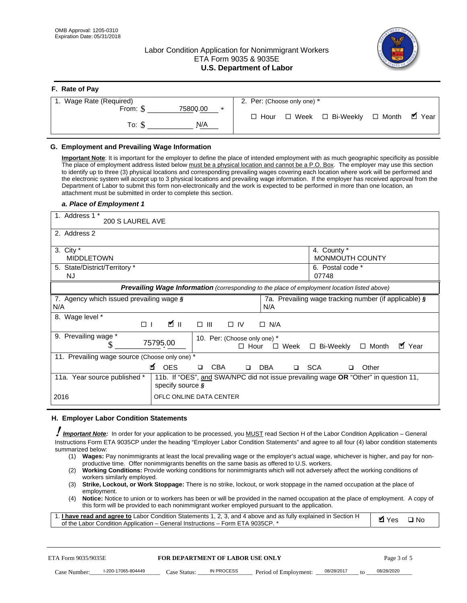**F. Rate of Pay** 

# Labor Condition Application for Nonimmigrant Workers ETA Form 9035 & 9035E **U.S. Department of Labor**



| <b>F.</b> Rate of Pay          |                                                  |
|--------------------------------|--------------------------------------------------|
| 1. Wage Rate (Required)        | 2. Per: (Choose only one) *                      |
| 75800.00<br>From: \$<br>$\ast$ |                                                  |
| N/A<br>To: \$                  | □ Week □ Bi-Weekly □ Month ■ Year<br>$\Box$ Hour |

## **G. Employment and Prevailing Wage Information**

#### *a. Place of Employment 1*

| From: \$                                                                                                                                                                                                                                                                                                                                                                                                                                                                                                                                                                                                                                                                                                                                                                                                                                  | 75800.00<br>$\ast$<br>To: $\S$<br>N/A                                                                                                                                                                                                                                                                                                                                                                                                                                                                                                                                                                                                                                                                                                | $\Box$ Hour                                                   | $\Box$ Week $\Box$ Bi-Weekly                          | $\blacksquare$ Year<br>$\Box$ Month |
|-------------------------------------------------------------------------------------------------------------------------------------------------------------------------------------------------------------------------------------------------------------------------------------------------------------------------------------------------------------------------------------------------------------------------------------------------------------------------------------------------------------------------------------------------------------------------------------------------------------------------------------------------------------------------------------------------------------------------------------------------------------------------------------------------------------------------------------------|--------------------------------------------------------------------------------------------------------------------------------------------------------------------------------------------------------------------------------------------------------------------------------------------------------------------------------------------------------------------------------------------------------------------------------------------------------------------------------------------------------------------------------------------------------------------------------------------------------------------------------------------------------------------------------------------------------------------------------------|---------------------------------------------------------------|-------------------------------------------------------|-------------------------------------|
| G. Employment and Prevailing Wage Information<br>Important Note: It is important for the employer to define the place of intended employment with as much geographic specificity as possible<br>The place of employment address listed below must be a physical location and cannot be a P.O. Box. The employer may use this section<br>to identify up to three (3) physical locations and corresponding prevailing wages covering each location where work will be performed and<br>the electronic system will accept up to 3 physical locations and prevailing wage information. If the employer has received approval from the<br>Department of Labor to submit this form non-electronically and the work is expected to be performed in more than one location, an<br>attachment must be submitted in order to complete this section. |                                                                                                                                                                                                                                                                                                                                                                                                                                                                                                                                                                                                                                                                                                                                      |                                                               |                                                       |                                     |
| a. Place of Employment 1<br>1. Address 1 *<br>200 S LAUREL AVE                                                                                                                                                                                                                                                                                                                                                                                                                                                                                                                                                                                                                                                                                                                                                                            |                                                                                                                                                                                                                                                                                                                                                                                                                                                                                                                                                                                                                                                                                                                                      |                                                               |                                                       |                                     |
| 2. Address 2                                                                                                                                                                                                                                                                                                                                                                                                                                                                                                                                                                                                                                                                                                                                                                                                                              |                                                                                                                                                                                                                                                                                                                                                                                                                                                                                                                                                                                                                                                                                                                                      |                                                               |                                                       |                                     |
| 3. City $*$<br><b>MIDDLETOWN</b><br>5. State/District/Territory *                                                                                                                                                                                                                                                                                                                                                                                                                                                                                                                                                                                                                                                                                                                                                                         |                                                                                                                                                                                                                                                                                                                                                                                                                                                                                                                                                                                                                                                                                                                                      |                                                               | 4. County *<br>MONMOUTH COUNTY<br>6. Postal code *    |                                     |
| <b>NJ</b>                                                                                                                                                                                                                                                                                                                                                                                                                                                                                                                                                                                                                                                                                                                                                                                                                                 |                                                                                                                                                                                                                                                                                                                                                                                                                                                                                                                                                                                                                                                                                                                                      |                                                               | 07748                                                 |                                     |
| 7. Agency which issued prevailing wage §                                                                                                                                                                                                                                                                                                                                                                                                                                                                                                                                                                                                                                                                                                                                                                                                  | Prevailing Wage Information (corresponding to the place of employment location listed above)                                                                                                                                                                                                                                                                                                                                                                                                                                                                                                                                                                                                                                         |                                                               | 7a. Prevailing wage tracking number (if applicable) § |                                     |
| N/A                                                                                                                                                                                                                                                                                                                                                                                                                                                                                                                                                                                                                                                                                                                                                                                                                                       |                                                                                                                                                                                                                                                                                                                                                                                                                                                                                                                                                                                                                                                                                                                                      | N/A                                                           |                                                       |                                     |
| 8. Wage level *<br>$\Box$                                                                                                                                                                                                                                                                                                                                                                                                                                                                                                                                                                                                                                                                                                                                                                                                                 | <b>M</b><br>$\Box$<br>III                                                                                                                                                                                                                                                                                                                                                                                                                                                                                                                                                                                                                                                                                                            | $\Box$ IV<br>$\Box$ N/A                                       |                                                       |                                     |
| 9. Prevailing wage *<br>S                                                                                                                                                                                                                                                                                                                                                                                                                                                                                                                                                                                                                                                                                                                                                                                                                 | 75795.00                                                                                                                                                                                                                                                                                                                                                                                                                                                                                                                                                                                                                                                                                                                             | 10. Per: (Choose only one) *<br>$\Box$ Hour<br>$\square$ Week | □ Bi-Weekly                                           | ■ Year<br>$\Box$ Month              |
| 11. Prevailing wage source (Choose only one) *                                                                                                                                                                                                                                                                                                                                                                                                                                                                                                                                                                                                                                                                                                                                                                                            | <b>¤</b> OES<br><b>CBA</b><br>$\Box$                                                                                                                                                                                                                                                                                                                                                                                                                                                                                                                                                                                                                                                                                                 | □ SCA<br>DBA<br>$\Box$                                        | □                                                     | Other                               |
| 11a. Year source published *                                                                                                                                                                                                                                                                                                                                                                                                                                                                                                                                                                                                                                                                                                                                                                                                              | 11b. If "OES", and SWA/NPC did not issue prevailing wage OR "Other" in question 11,<br>specify source $\boldsymbol{\S}$                                                                                                                                                                                                                                                                                                                                                                                                                                                                                                                                                                                                              |                                                               |                                                       |                                     |
| 2016                                                                                                                                                                                                                                                                                                                                                                                                                                                                                                                                                                                                                                                                                                                                                                                                                                      | OFLC ONLINE DATA CENTER                                                                                                                                                                                                                                                                                                                                                                                                                                                                                                                                                                                                                                                                                                              |                                                               |                                                       |                                     |
| H. Employer Labor Condition Statements                                                                                                                                                                                                                                                                                                                                                                                                                                                                                                                                                                                                                                                                                                                                                                                                    |                                                                                                                                                                                                                                                                                                                                                                                                                                                                                                                                                                                                                                                                                                                                      |                                                               |                                                       |                                     |
| Important Note: In order for your application to be processed, you MUST read Section H of the Labor Condition Application - General<br>Instructions Form ETA 9035CP under the heading "Employer Labor Condition Statements" and agree to all four (4) labor condition statements<br>summarized below:<br>(1)<br>(2)<br>workers similarly employed.<br>(3)<br>employment.<br>(4)<br>1. I have read and agree to Labor Condition Statements 1, 2, 3, and 4 above and as fully explained in Section H<br>of the Labor Condition Application - General Instructions - Form ETA 9035CP. *                                                                                                                                                                                                                                                      | Wages: Pay nonimmigrants at least the local prevailing wage or the employer's actual wage, whichever is higher, and pay for non-<br>productive time. Offer nonimmigrants benefits on the same basis as offered to U.S. workers.<br><b>Working Conditions:</b> Provide working conditions for nonimmigrants which will not adversely affect the working conditions of<br>Strike, Lockout, or Work Stoppage: There is no strike, lockout, or work stoppage in the named occupation at the place of<br>Notice: Notice to union or to workers has been or will be provided in the named occupation at the place of employment. A copy of<br>this form will be provided to each nonimmigrant worker employed pursuant to the application. |                                                               |                                                       | <b>Ø</b> Yes<br>$\square$ No        |
| ETA Form 9035/9035E                                                                                                                                                                                                                                                                                                                                                                                                                                                                                                                                                                                                                                                                                                                                                                                                                       | <b>FOR DEPARTMENT OF LABOR USE ONLY</b>                                                                                                                                                                                                                                                                                                                                                                                                                                                                                                                                                                                                                                                                                              |                                                               |                                                       | Page 3 of 5                         |
| I-200-17065-804449<br>Case Number:                                                                                                                                                                                                                                                                                                                                                                                                                                                                                                                                                                                                                                                                                                                                                                                                        | IN PROCESS<br>Case Status: .                                                                                                                                                                                                                                                                                                                                                                                                                                                                                                                                                                                                                                                                                                         | Period of Employment:                                         | 08/28/2017                                            | 08/28/2020                          |

#### **H. Employer Labor Condition Statements**

- (1) **Wages:** Pay nonimmigrants at least the local prevailing wage or the employer's actual wage, whichever is higher, and pay for nonproductive time. Offer nonimmigrants benefits on the same basis as offered to U.S. workers.
- (2) **Working Conditions:** Provide working conditions for nonimmigrants which will not adversely affect the working conditions of workers similarly employed.
- (3) **Strike, Lockout, or Work Stoppage:** There is no strike, lockout, or work stoppage in the named occupation at the place of employment.
- (4) **Notice:** Notice to union or to workers has been or will be provided in the named occupation at the place of employment. A copy of this form will be provided to each nonimmigrant worker employed pursuant to the application.

| 1. I have read and agree to Labor Condition Statements 1, 2, 3, and 4 above and as fully explained in Section H | $\blacksquare$ Yes $\square$ No |  |
|-----------------------------------------------------------------------------------------------------------------|---------------------------------|--|
| of the Labor Condition Application – General Instructions – Form ETA 9035CP. *                                  |                                 |  |

| ETA Form 9035/9035E |                    | <b>FOR DEPARTMENT OF LABOR USE ONLY</b> |            |                       | Page 3 of 5 |    |            |
|---------------------|--------------------|-----------------------------------------|------------|-----------------------|-------------|----|------------|
| Case Number:        | l-200-17065-804449 | Case Status:                            | IN PROCESS | Period of Employment: | 08/28/2017  | to | 08/28/2020 |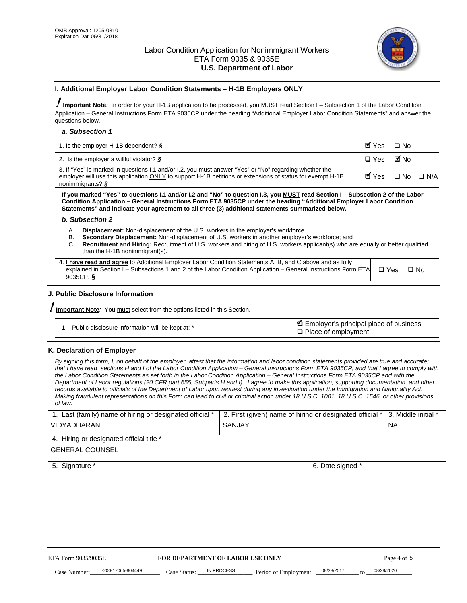

### **I. Additional Employer Labor Condition Statements – H-1B Employers ONLY**

!**Important Note***:* In order for your H-1B application to be processed, you MUST read Section I – Subsection 1 of the Labor Condition Application – General Instructions Form ETA 9035CP under the heading "Additional Employer Labor Condition Statements" and answer the questions below.

#### *a. Subsection 1*

| 1. Is the employer H-1B dependent? $\S$                                                                                                                                                                                                 | Myes □ No                                     |  |
|-----------------------------------------------------------------------------------------------------------------------------------------------------------------------------------------------------------------------------------------|-----------------------------------------------|--|
| 2. Is the employer a willful violator? $\frac{1}{2}$                                                                                                                                                                                    | □ Yes ■No                                     |  |
| 3. If "Yes" is marked in questions I.1 and/or I.2, you must answer "Yes" or "No" regarding whether the<br>employer will use this application ONLY to support H-1B petitions or extensions of status for exempt H-1B<br>nonimmigrants? § | $\blacksquare$ Yes $\square$ No $\square$ N/A |  |

**If you marked "Yes" to questions I.1 and/or I.2 and "No" to question I.3, you MUST read Section I – Subsection 2 of the Labor Condition Application – General Instructions Form ETA 9035CP under the heading "Additional Employer Labor Condition Statements" and indicate your agreement to all three (3) additional statements summarized below.** 

#### *b. Subsection 2*

- A. **Displacement:** Non-displacement of the U.S. workers in the employer's workforce
- B. **Secondary Displacement:** Non-displacement of U.S. workers in another employer's workforce; and
- C. **Recruitment and Hiring:** Recruitment of U.S. workers and hiring of U.S. workers applicant(s) who are equally or better qualified than the H-1B nonimmigrant(s).

| 4. <b>I have read and agree</b> to Additional Employer Labor Condition Statements A, B, and C above and as fully |            |      |
|------------------------------------------------------------------------------------------------------------------|------------|------|
| explained in Section I – Subsections 1 and 2 of the Labor Condition Application – General Instructions Form ETA  | $\Box$ Yes | ∩ Nח |
| 9035CP. $\frac{5}{9}$                                                                                            |            |      |

# **J. Public Disclosure Information**

!**Important Note***:* You must select from the options listed in this Section.

| Public disclosure information will be kept at: * | Employer's principal place of business<br>$\Box$ Place of employment |
|--------------------------------------------------|----------------------------------------------------------------------|
|--------------------------------------------------|----------------------------------------------------------------------|

# **K. Declaration of Employer**

*By signing this form, I, on behalf of the employer, attest that the information and labor condition statements provided are true and accurate;*  that I have read sections H and I of the Labor Condition Application – General Instructions Form ETA 9035CP, and that I agree to comply with *the Labor Condition Statements as set forth in the Labor Condition Application – General Instructions Form ETA 9035CP and with the Department of Labor regulations (20 CFR part 655, Subparts H and I). I agree to make this application, supporting documentation, and other records available to officials of the Department of Labor upon request during any investigation under the Immigration and Nationality Act. Making fraudulent representations on this Form can lead to civil or criminal action under 18 U.S.C. 1001, 18 U.S.C. 1546, or other provisions of law.* 

| 1. Last (family) name of hiring or designated official * | 2. First (given) name of hiring or designated official * |                                 | 3. Middle initial * |
|----------------------------------------------------------|----------------------------------------------------------|---------------------------------|---------------------|
| <b>VIDYADHARAN</b>                                       | <b>SANJAY</b>                                            |                                 | <b>NA</b>           |
| 4. Hiring or designated official title *                 |                                                          |                                 |                     |
| <b>GENERAL COUNSEL</b>                                   |                                                          |                                 |                     |
| 5. Signature *                                           |                                                          | 6. Date signed *                |                     |
|                                                          |                                                          |                                 |                     |
|                                                          |                                                          |                                 |                     |
|                                                          |                                                          |                                 |                     |
|                                                          |                                                          |                                 |                     |
| FOR DEPARTMENT OF LABOR USE ONLY<br>ETA Form 9035/9035E  |                                                          |                                 | Page 4 of 5         |
| I-200-17065-804449<br>Case Number<br>Case Status:        | IN PROCESS<br>Period of Employment:                      | 08/28/2017<br>$\mathsf{t} \cap$ | 08/28/2020          |